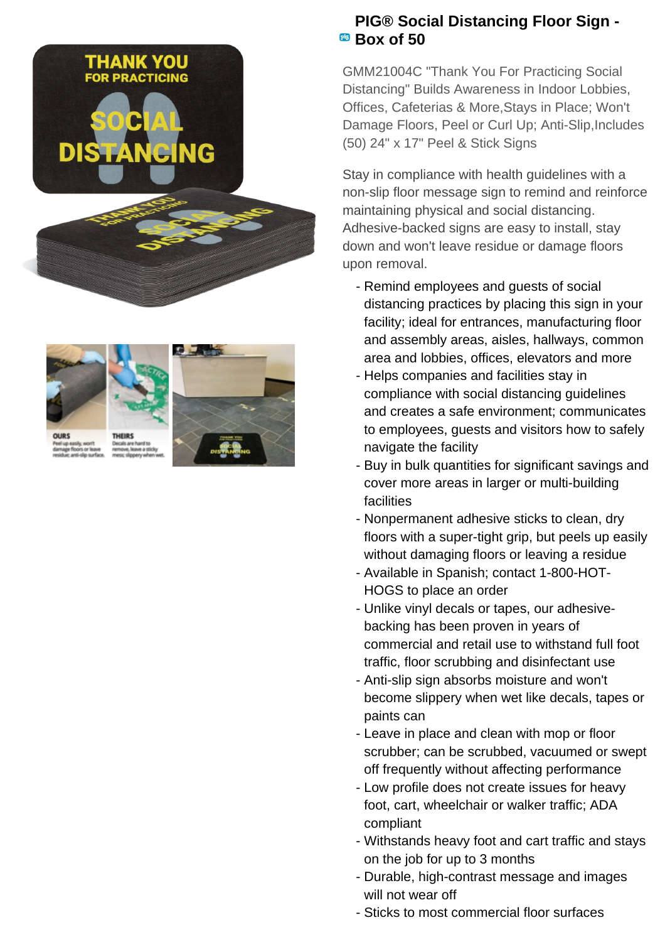



## **PIG® Social Distancing Floor Sign - Box of 50**

GMM21004C "Thank You For Practicing Social Distancing" Builds Awareness in Indoor Lobbies, Offices, Cafeterias & More,Stays in Place; Won't Damage Floors, Peel or Curl Up; Anti-Slip, Includes (50) 24" x 17" Peel & Stick Signs

Stay in compliance with health guidelines with a non-slip floor message sign to remind and reinforce maintaining physical and social distancing. Adhesive-backed signs are easy to install, stay down and won't leave residue or damage floors upon removal.

- Remind employees and guests of social distancing practices by placing this sign in your facility; ideal for entrances, manufacturing floor and assembly areas, aisles, hallways, common area and lobbies, offices, elevators and more
- Helps companies and facilities stay in compliance with social distancing guidelines and creates a safe environment; communicates to employees, guests and visitors how to safely navigate the facility
- Buy in bulk quantities for significant savings and cover more areas in larger or multi-building facilities
- Nonpermanent adhesive sticks to clean, dry floors with a super-tight grip, but peels up easily without damaging floors or leaving a residue
- Available in Spanish; contact 1-800-HOT-HOGS to place an order
- Unlike vinyl decals or tapes, our adhesive- backing has been proven in years of commercial and retail use to withstand full foot traffic, floor scrubbing and disinfectant use
- Anti-slip sign absorbs moisture and won't become slippery when wet like decals, tapes or paints can
- Leave in place and clean with mop or floor scrubber; can be scrubbed, vacuumed or swept off frequently without affecting performance
- Low profile does not create issues for heavy foot, cart, wheelchair or walker traffic; ADA compliant
- Withstands heavy foot and cart traffic and stays on the job for up to 3 months
- Durable, high-contrast message and images will not wear off
- Sticks to most commercial floor surfaces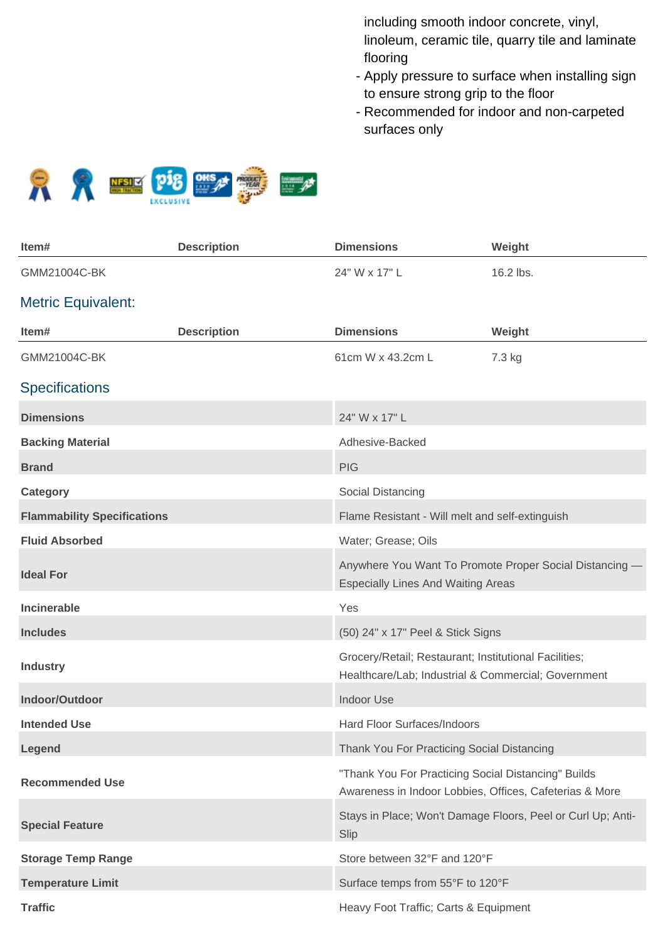including smooth indoor concrete, vinyl, linoleum, ceramic tile, quarry tile and laminate flooring

- Apply pressure to surface when installing sign to ensure strong grip to the floor
- Recommended for indoor and non-carpeted surfaces only



| ltem#                              | <b>Description</b> | <b>Dimensions</b>                                                                                              | Weight                                                      |
|------------------------------------|--------------------|----------------------------------------------------------------------------------------------------------------|-------------------------------------------------------------|
| GMM21004C-BK                       |                    | 24" W x 17" L                                                                                                  | 16.2 lbs.                                                   |
| <b>Metric Equivalent:</b>          |                    |                                                                                                                |                                                             |
| Item#                              | <b>Description</b> | <b>Dimensions</b>                                                                                              | Weight                                                      |
| GMM21004C-BK                       |                    | 61cm W x 43.2cm L                                                                                              | 7.3 kg                                                      |
| <b>Specifications</b>              |                    |                                                                                                                |                                                             |
| <b>Dimensions</b>                  |                    | 24" W x 17" L                                                                                                  |                                                             |
| <b>Backing Material</b>            |                    | Adhesive-Backed                                                                                                |                                                             |
| <b>Brand</b>                       |                    | <b>PIG</b>                                                                                                     |                                                             |
| Category                           |                    | Social Distancing                                                                                              |                                                             |
| <b>Flammability Specifications</b> |                    | Flame Resistant - Will melt and self-extinguish                                                                |                                                             |
| <b>Fluid Absorbed</b>              |                    | Water; Grease; Oils                                                                                            |                                                             |
| <b>Ideal For</b>                   |                    | <b>Especially Lines And Waiting Areas</b>                                                                      | Anywhere You Want To Promote Proper Social Distancing -     |
| <b>Incinerable</b>                 |                    | Yes                                                                                                            |                                                             |
| <b>Includes</b>                    |                    | (50) 24" x 17" Peel & Stick Signs                                                                              |                                                             |
| <b>Industry</b>                    |                    | Grocery/Retail; Restaurant; Institutional Facilities;<br>Healthcare/Lab; Industrial & Commercial; Government   |                                                             |
| Indoor/Outdoor                     |                    | <b>Indoor Use</b>                                                                                              |                                                             |
| <b>Intended Use</b>                |                    | Hard Floor Surfaces/Indoors                                                                                    |                                                             |
| Legend                             |                    | Thank You For Practicing Social Distancing                                                                     |                                                             |
| <b>Recommended Use</b>             |                    | "Thank You For Practicing Social Distancing" Builds<br>Awareness in Indoor Lobbies, Offices, Cafeterias & More |                                                             |
| <b>Special Feature</b>             |                    | Slip                                                                                                           | Stays in Place; Won't Damage Floors, Peel or Curl Up; Anti- |
| <b>Storage Temp Range</b>          |                    | Store between 32°F and 120°F                                                                                   |                                                             |
| <b>Temperature Limit</b>           |                    | Surface temps from 55°F to 120°F                                                                               |                                                             |
| <b>Traffic</b>                     |                    | Heavy Foot Traffic; Carts & Equipment                                                                          |                                                             |